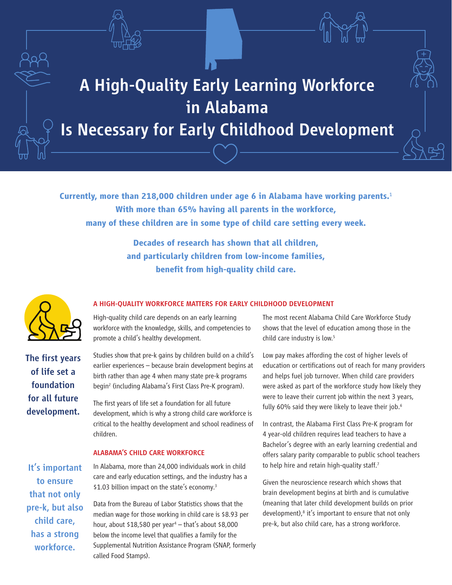



# A High-Quality Early Learning Workforce in Alabama

## Is Necessary for Early Childhood Development

**Currently, more than 218,000 children under age 6 in Alabama have working parents.**<sup>1</sup> **With more than 65% having all parents in the workforce, many of these children are in some type of child care setting every week.**

> **Decades of research has shown that all children, and particularly children from low-income families, benefit from high-quality child care.**



The first years of life set a foundation for all future development.

#### A HIGH-QUALITY WORKFORCE MATTERS FOR EARLY CHILDHOOD DEVELOPMENT

High-quality child care depends on an early learning workforce with the knowledge, skills, and competencies to promote a child's healthy development.

Studies show that pre-k gains by children build on a child's earlier experiences – because brain development begins at birth rather than age 4 when many state pre-k programs begin2 (including Alabama's First Class Pre-K program).

The first years of life set a foundation for all future development, which is why a strong child care workforce is critical to the healthy development and school readiness of children.

#### ALABAMA'S CHILD CARE WORKFORCE

In Alabama, more than 24,000 individuals work in child care and early education settings, and the industry has a \$1.03 billion impact on the state's economy.<sup>3</sup>

Data from the Bureau of Labor Statistics shows that the median wage for those working in child care is \$8.93 per hour, about \$18,580 per year4 – that's about \$8,000 below the income level that qualifies a family for the Supplemental Nutrition Assistance Program (SNAP, formerly called Food Stamps).

The most recent Alabama Child Care Workforce Study shows that the level of education among those in the child care industry is low.<sup>5</sup>

Low pay makes affording the cost of higher levels of education or certifications out of reach for many providers and helps fuel job turnover. When child care providers were asked as part of the workforce study how likely they were to leave their current job within the next 3 years, fully 60% said they were likely to leave their job.<sup>6</sup>

In contrast, the Alabama First Class Pre-K program for 4 year-old children requires lead teachers to have a Bachelor's degree with an early learning credential and offers salary parity comparable to public school teachers to help hire and retain high-quality staff.<sup>7</sup>

Given the neuroscience research which shows that brain development begins at birth and is cumulative (meaning that later child development builds on prior development),<sup>8</sup> it's important to ensure that not only pre-k, but also child care, has a strong workforce.

It's important to ensure that not only pre-k, but also child care, has a strong workforce.